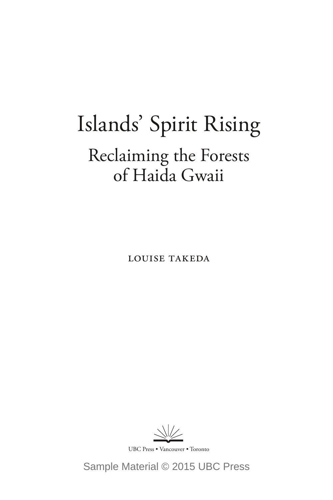# Islands' Spirit Rising Reclaiming the Forests of Haida Gwaii

Louise Takeda

 $\sqrt{}/\sqrt{}$ 

UBC Press • Vancouver • Toronto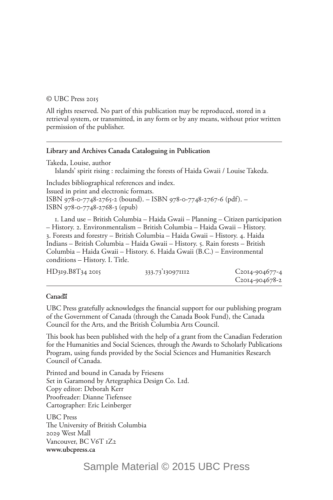#### © UBC Press 2015

All rights reserved. No part of this publication may be reproduced, stored in a retrieval system, or transmitted, in any form or by any means, without prior written permission of the publisher.

#### **Library and Archives Canada Cataloguing in Publication**

Takeda, Louise, author Islands' spirit rising : reclaiming the forests of Haida Gwaii / Louise Takeda. Includes bibliographical references and index.

Issued in print and electronic formats. ISBN 978-0-7748-2765-2 (bound). – ISBN 978-0-7748-2767-6 (pdf). – ISBN 978-0-7748-2768-3 (epub)

1. Land use – British Columbia – Haida Gwaii – Planning – Citizen participation – History. 2. Environmentalism – British Columbia – Haida Gwaii – History. 3. Forests and forestry – British Columbia – Haida Gwaii – History. 4. Haida Indians – British Columbia – Haida Gwaii – History. 5. Rain forests – British Columbia – Haida Gwaii – History. 6. Haida Gwaii (B.C.) – Environmental conditions – History. I. Title.

| HD319.B8T34 2015 | 333.73 130971112 | $C_{20I4}$ -904677-4        |
|------------------|------------------|-----------------------------|
|                  |                  | C <sub>2014</sub> -904678-2 |

### Canadä

UBC Press gratefully acknowledges the financial support for our publishing program of the Government of Canada (through the Canada Book Fund), the Canada Council for the Arts, and the British Columbia Arts Council.

This book has been published with the help of a grant from the Canadian Federation for the Humanities and Social Sciences, through the Awards to Scholarly Publications Program, using funds provided by the Social Sciences and Humanities Research Council of Canada.

Printed and bound in Canada by Friesens Set in Garamond by Artegraphica Design Co. Ltd. Copy editor: Deborah Kerr Proofreader: Dianne Tiefensee Cartographer: Eric Leinberger

UBC Press The University of British Columbia 2029 West Mall Vancouver, BC V6T 1Z2 **www.ubcpress.ca**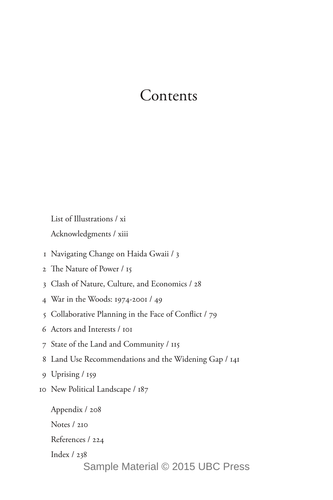### Contents

List of Illustrations / xi

Acknowledgments / xiii

- 1 Navigating Change on Haida Gwaii / 3
- 2 The Nature of Power / 15
- 3 Clash of Nature, Culture, and Economics / 28
- 4 War in the Woods: 1974-2001 / 49
- 5 Collaborative Planning in the Face of Conflict / 79
- 6 Actors and Interests / 101
- 7 State of the Land and Community / 115
- 8 Land Use Recommendations and the Widening Gap / 141
- 9 Uprising / 159
- 10 New Political Landscape / 187

Appendix / 208 Notes / 210 References / 224 Index / 238 Sample Material © 2015 UBC Press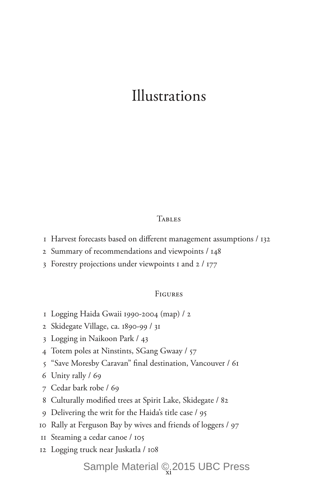### Illustrations

### **TABLES**

- Harvest forecasts based on different management assumptions / 132
- Summary of recommendations and viewpoints / 148
- Forestry projections under viewpoints 1 and 2 / 177

### **FIGURES**

- Logging Haida Gwaii 1990-2004 (map) / 2
- Skidegate Village, ca. 1890-99 / 31
- Logging in Naikoon Park / 43
- Totem poles at Ninstints, SGang Gwaay / 57
- "Save Moresby Caravan" final destination, Vancouver / 61
- Unity rally / 69
- Cedar bark robe / 69
- Culturally modified trees at Spirit Lake, Skidegate / 82
- Delivering the writ for the Haida's title case / 95
- Rally at Ferguson Bay by wives and friends of loggers / 97
- Steaming a cedar canoe / 105
- Logging truck near Juskatla / 108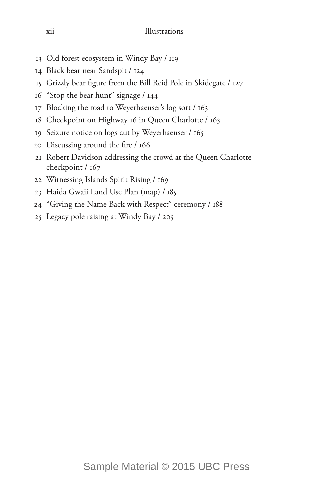- Old forest ecosystem in Windy Bay / 119
- Black bear near Sandspit / 124
- Grizzly bear figure from the Bill Reid Pole in Skidegate / 127
- "Stop the bear hunt" signage / 144
- Blocking the road to Weyerhaeuser's log sort / 163
- Checkpoint on Highway 16 in Queen Charlotte / 163
- Seizure notice on logs cut by Weyerhaeuser / 165
- Discussing around the fire / 166
- Robert Davidson addressing the crowd at the Queen Charlotte checkpoint / 167
- Witnessing Islands Spirit Rising / 169
- Haida Gwaii Land Use Plan (map) / 185
- "Giving the Name Back with Respect" ceremony / 188
- Legacy pole raising at Windy Bay / 205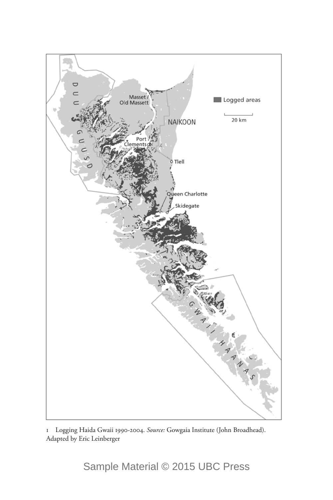

1 Logging Haida Gwaii 1990-2004. *Source:* Gowgaia Institute (John Broadhead). Adapted by Eric Leinberger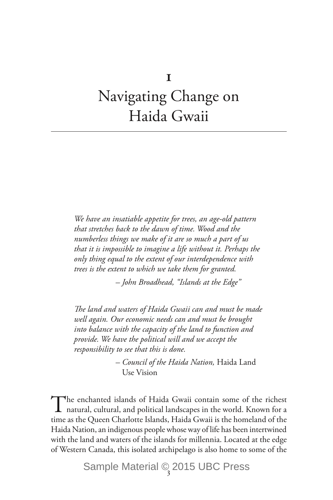## Navigating Change on Haida Gwaii

*We have an insatiable appetite for trees, an age-old pattern that stretches back to the dawn of time. Wood and the numberless things we make of it are so much a part of us that it is impossible to imagine a life without it. Perhaps the only thing equal to the extent of our interdependence with trees is the extent to which we take them for granted.*

 *– John Broadhead, "Islands at the Edge"*

*The land and waters of Haida Gwaii can and must be made well again. Our economic needs can and must be brought into balance with the capacity of the land to function and provide. We have the political will and we accept the responsibility to see that this is done.*

> *– Council of the Haida Nation,* Haida Land Use Vision

The enchanted islands of Haida Gwaii contain some of the richest natural, cultural, and political landscapes in the world. Known for a time as the Queen Charlotte Islands, Haida Gwaii is the homeland of the Haida Nation, an indigenous people whose way of life has been intertwined with the land and waters of the islands for millennia. Located at the edge of Western Canada, this isolated archipelago is also home to some of the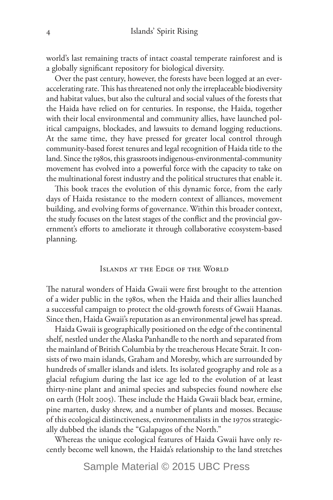world's last remaining tracts of intact coastal temperate rainforest and is a globally significant repository for biological diversity.

Over the past century, however, the forests have been logged at an everaccelerating rate. This has threatened not only the irreplaceable biodiversity and habitat values, but also the cultural and social values of the forests that the Haida have relied on for centuries. In response, the Haida, together with their local environmental and community allies, have launched political campaigns, blockades, and lawsuits to demand logging reductions. At the same time, they have pressed for greater local control through community-based forest tenures and legal recognition of Haida title to the land. Since the 1980s, this grassroots indigenous-environmental-community movement has evolved into a powerful force with the capacity to take on the multinational forest industry and the political structures that enable it.

This book traces the evolution of this dynamic force, from the early days of Haida resistance to the modern context of alliances, movement building, and evolving forms of governance. Within this broader context, the study focuses on the latest stages of the conflict and the provincial government's efforts to ameliorate it through collaborative ecosystem-based planning.

### Islands at the Edge of the World

The natural wonders of Haida Gwaii were first brought to the attention of a wider public in the 1980s, when the Haida and their allies launched a successful campaign to protect the old-growth forests of Gwaii Haanas. Since then, Haida Gwaii's reputation as an environmental jewel has spread.

Haida Gwaii is geographically positioned on the edge of the continental shelf, nestled under the Alaska Panhandle to the north and separated from the mainland of British Columbia by the treacherous Hecate Strait. It consists of two main islands, Graham and Moresby, which are surrounded by hundreds of smaller islands and islets. Its isolated geography and role as a glacial refugium during the last ice age led to the evolution of at least thirty-nine plant and animal species and subspecies found nowhere else on earth (Holt 2005). These include the Haida Gwaii black bear, ermine, pine marten, dusky shrew, and a number of plants and mosses. Because of this ecological distinctiveness, environmentalists in the 1970s strategically dubbed the islands the "Galapagos of the North."

Whereas the unique ecological features of Haida Gwaii have only recently become well known, the Haida's relationship to the land stretches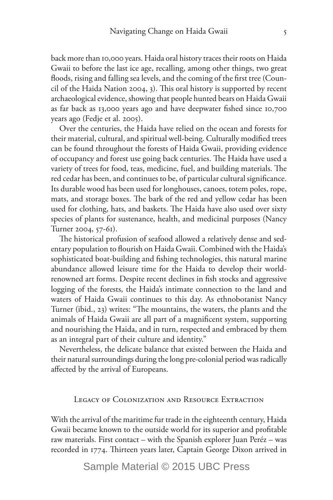back more than 10,000 years. Haida oral history traces their roots on Haida Gwaii to before the last ice age, recalling, among other things, two great floods, rising and falling sea levels, and the coming of the first tree (Council of the Haida Nation 2004, 3). This oral history is supported by recent archaeological evidence, showing that people hunted bears on Haida Gwaii as far back as 13,000 years ago and have deepwater fished since 10,700 years ago (Fedje et al. 2005).

Over the centuries, the Haida have relied on the ocean and forests for their material, cultural, and spiritual well-being. Culturally modified trees can be found throughout the forests of Haida Gwaii, providing evidence of occupancy and forest use going back centuries. The Haida have used a variety of trees for food, teas, medicine, fuel, and building materials. The red cedar has been, and continues to be, of particular cultural significance. Its durable wood has been used for longhouses, canoes, totem poles, rope, mats, and storage boxes. The bark of the red and yellow cedar has been used for clothing, hats, and baskets. The Haida have also used over sixty species of plants for sustenance, health, and medicinal purposes (Nancy Turner 2004, 57-61).

The historical profusion of seafood allowed a relatively dense and sedentary population to flourish on Haida Gwaii. Combined with the Haida's sophisticated boat-building and fishing technologies, this natural marine abundance allowed leisure time for the Haida to develop their worldrenowned art forms. Despite recent declines in fish stocks and aggressive logging of the forests, the Haida's intimate connection to the land and waters of Haida Gwaii continues to this day. As ethnobotanist Nancy Turner (ibid., 23) writes: "The mountains, the waters, the plants and the animals of Haida Gwaii are all part of a magnificent system, supporting and nourishing the Haida, and in turn, respected and embraced by them as an integral part of their culture and identity."

Nevertheless, the delicate balance that existed between the Haida and their natural surroundings during the long pre-colonial period was radically affected by the arrival of Europeans.

### Legacy of Colonization and Resource Extraction

With the arrival of the maritime fur trade in the eighteenth century, Haida Gwaii became known to the outside world for its superior and profitable raw materials. First contact – with the Spanish explorer Juan Peréz – was recorded in 1774. Thirteen years later, Captain George Dixon arrived in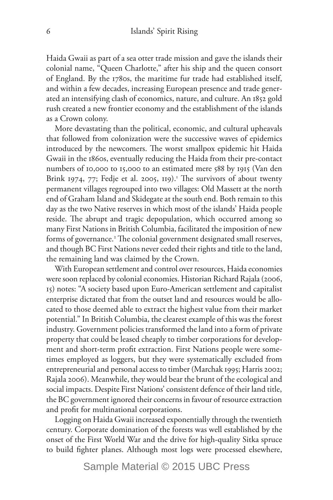Haida Gwaii as part of a sea otter trade mission and gave the islands their colonial name, "Queen Charlotte," after his ship and the queen consort of England. By the 1780s, the maritime fur trade had established itself, and within a few decades, increasing European presence and trade generated an intensifying clash of economics, nature, and culture. An 1852 gold rush created a new frontier economy and the establishment of the islands as a Crown colony.

More devastating than the political, economic, and cultural upheavals that followed from colonization were the successive waves of epidemics introduced by the newcomers. The worst smallpox epidemic hit Haida Gwaii in the 1860s, eventually reducing the Haida from their pre-contact numbers of 10,000 to 15,000 to an estimated mere 588 by 1915 (Van den Brink 1974, 77; Fedje et al. 2005, 119).<sup>1</sup> The survivors of about twenty permanent villages regrouped into two villages: Old Massett at the north end of Graham Island and Skidegate at the south end. Both remain to this day as the two Native reserves in which most of the islands' Haida people reside. The abrupt and tragic depopulation, which occurred among so many First Nations in British Columbia, facilitated the imposition of new forms of governance.<sup>2</sup> The colonial government designated small reserves, and though BC First Nations never ceded their rights and title to the land, the remaining land was claimed by the Crown.

With European settlement and control over resources, Haida economies were soon replaced by colonial economies. Historian Richard Rajala (2006, 15) notes: "A society based upon Euro-American settlement and capitalist enterprise dictated that from the outset land and resources would be allocated to those deemed able to extract the highest value from their market potential." In British Columbia, the clearest example of this was the forest industry. Government policies transformed the land into a form of private property that could be leased cheaply to timber corporations for development and short-term profit extraction. First Nations people were sometimes employed as loggers, but they were systematically excluded from entrepreneurial and personal access to timber (Marchak 1995; Harris 2002; Rajala 2006). Meanwhile, they would bear the brunt of the ecological and social impacts. Despite First Nations' consistent defence of their land title, the BC government ignored their concerns in favour of resource extraction and profit for multinational corporations.

Logging on Haida Gwaii increased exponentially through the twentieth century. Corporate domination of the forests was well established by the onset of the First World War and the drive for high-quality Sitka spruce to build fighter planes. Although most logs were processed elsewhere,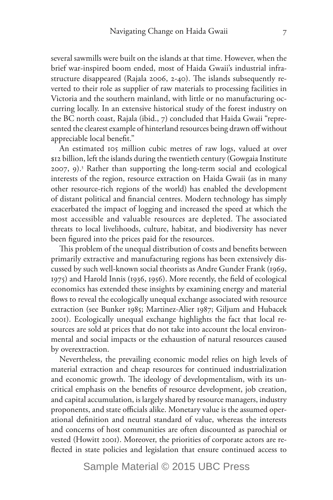several sawmills were built on the islands at that time. However, when the brief war-inspired boom ended, most of Haida Gwaii's industrial infrastructure disappeared (Rajala 2006, 2-40). The islands subsequently reverted to their role as supplier of raw materials to processing facilities in Victoria and the southern mainland, with little or no manufacturing occurring locally. In an extensive historical study of the forest industry on the BC north coast, Rajala (ibid., 7) concluded that Haida Gwaii "represented the clearest example of hinterland resources being drawn off without appreciable local benefit."

An estimated 105 million cubic metres of raw logs, valued at over \$12 billion, left the islands during the twentieth century (Gowgaia Institute 2007, 9).3 Rather than supporting the long-term social and ecological interests of the region, resource extraction on Haida Gwaii (as in many other resource-rich regions of the world) has enabled the development of distant political and financial centres. Modern technology has simply exacerbated the impact of logging and increased the speed at which the most accessible and valuable resources are depleted. The associated threats to local livelihoods, culture, habitat, and biodiversity has never been figured into the prices paid for the resources.

This problem of the unequal distribution of costs and benefits between primarily extractive and manufacturing regions has been extensively discussed by such well-known social theorists as Andre Gunder Frank (1969, 1975) and Harold Innis (1936, 1956). More recently, the field of ecological economics has extended these insights by examining energy and material flows to reveal the ecologically unequal exchange associated with resource extraction (see Bunker 1985; Martinez-Alier 1987; Giljum and Hubacek 2001). Ecologically unequal exchange highlights the fact that local resources are sold at prices that do not take into account the local environmental and social impacts or the exhaustion of natural resources caused by overextraction.

Nevertheless, the prevailing economic model relies on high levels of material extraction and cheap resources for continued industrialization and economic growth. The ideology of developmentalism, with its uncritical emphasis on the benefits of resource development, job creation, and capital accumulation, is largely shared by resource managers, industry proponents, and state officials alike. Monetary value is the assumed operational definition and neutral standard of value, whereas the interests and concerns of host communities are often discounted as parochial or vested (Howitt 2001). Moreover, the priorities of corporate actors are reflected in state policies and legislation that ensure continued access to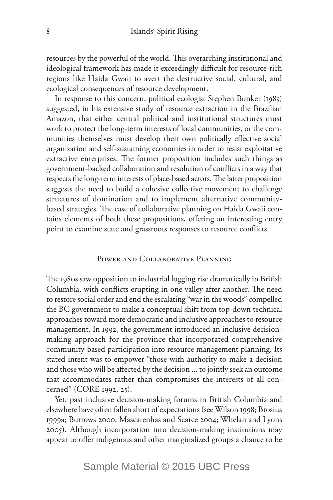resources by the powerful of the world. This overarching institutional and ideological framework has made it exceedingly difficult for resource-rich regions like Haida Gwaii to avert the destructive social, cultural, and ecological consequences of resource development.

In response to this concern, political ecologist Stephen Bunker (1985) suggested, in his extensive study of resource extraction in the Brazilian Amazon, that either central political and institutional structures must work to protect the long-term interests of local communities, or the communities themselves must develop their own politically effective social organization and self-sustaining economies in order to resist exploitative extractive enterprises. The former proposition includes such things as government-backed collaboration and resolution of conflicts in a way that respects the long-term interests of place-based actors. The latter proposition suggests the need to build a cohesive collective movement to challenge structures of domination and to implement alternative communitybased strategies. The case of collaborative planning on Haida Gwaii contains elements of both these propositions, offering an interesting entry point to examine state and grassroots responses to resource conflicts.

### Power and Collaborative Planning

The 1980s saw opposition to industrial logging rise dramatically in British Columbia, with conflicts erupting in one valley after another. The need to restore social order and end the escalating "war in the woods" compelled the BC government to make a conceptual shift from top-down technical approaches toward more democratic and inclusive approaches to resource management. In 1992, the government introduced an inclusive decisionmaking approach for the province that incorporated comprehensive community-based participation into resource management planning. Its stated intent was to empower "those with authority to make a decision and those who will be affected by the decision ... to jointly seek an outcome that accommodates rather than compromises the interests of all concerned" (CORE 1992, 25).

Yet, past inclusive decision-making forums in British Columbia and elsewhere have often fallen short of expectations (see Wilson 1998; Brosius 1999a; Burrows 2000; Mascarenhas and Scarce 2004; Whelan and Lyons 2005). Although incorporation into decision-making institutions may appear to offer indigenous and other marginalized groups a chance to be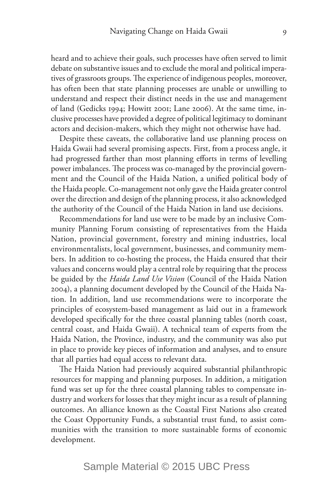heard and to achieve their goals, such processes have often served to limit debate on substantive issues and to exclude the moral and political imperatives of grassroots groups. The experience of indigenous peoples, moreover, has often been that state planning processes are unable or unwilling to understand and respect their distinct needs in the use and management of land (Gedicks 1994; Howitt 2001; Lane 2006). At the same time, inclusive processes have provided a degree of political legitimacy to dominant actors and decision-makers, which they might not otherwise have had.

Despite these caveats, the collaborative land use planning process on Haida Gwaii had several promising aspects. First, from a process angle, it had progressed farther than most planning efforts in terms of levelling power imbalances. The process was co-managed by the provincial government and the Council of the Haida Nation, a unified political body of the Haida people. Co-management not only gave the Haida greater control over the direction and design of the planning process, it also acknowledged the authority of the Council of the Haida Nation in land use decisions.

Recommendations for land use were to be made by an inclusive Community Planning Forum consisting of representatives from the Haida Nation, provincial government, forestry and mining industries, local environmentalists, local government, businesses, and community members. In addition to co-hosting the process, the Haida ensured that their values and concerns would play a central role by requiring that the process be guided by the *Haida Land Use Vision* (Council of the Haida Nation 2004), a planning document developed by the Council of the Haida Nation. In addition, land use recommendations were to incorporate the principles of ecosystem-based management as laid out in a framework developed specifically for the three coastal planning tables (north coast, central coast, and Haida Gwaii). A technical team of experts from the Haida Nation, the Province, industry, and the community was also put in place to provide key pieces of information and analyses, and to ensure that all parties had equal access to relevant data.

The Haida Nation had previously acquired substantial philanthropic resources for mapping and planning purposes. In addition, a mitigation fund was set up for the three coastal planning tables to compensate industry and workers for losses that they might incur as a result of planning outcomes. An alliance known as the Coastal First Nations also created the Coast Opportunity Funds, a substantial trust fund, to assist communities with the transition to more sustainable forms of economic development.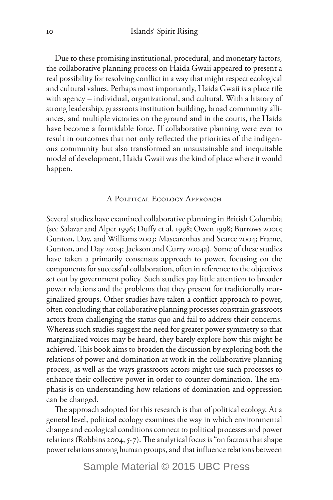Due to these promising institutional, procedural, and monetary factors, the collaborative planning process on Haida Gwaii appeared to present a real possibility for resolving conflict in a way that might respect ecological and cultural values. Perhaps most importantly, Haida Gwaii is a place rife with agency – individual, organizational, and cultural. With a history of strong leadership, grassroots institution building, broad community alliances, and multiple victories on the ground and in the courts, the Haida have become a formidable force. If collaborative planning were ever to result in outcomes that not only reflected the priorities of the indigenous community but also transformed an unsustainable and inequitable model of development, Haida Gwaii was the kind of place where it would happen.

### A Political Ecology Approach

Several studies have examined collaborative planning in British Columbia (see Salazar and Alper 1996; Duffy et al. 1998; Owen 1998; Burrows 2000; Gunton, Day, and Williams 2003; Mascarenhas and Scarce 2004; Frame, Gunton, and Day 2004; Jackson and Curry 2004a). Some of these studies have taken a primarily consensus approach to power, focusing on the components for successful collaboration, often in reference to the objectives set out by government policy. Such studies pay little attention to broader power relations and the problems that they present for traditionally marginalized groups. Other studies have taken a conflict approach to power, often concluding that collaborative planning processes constrain grassroots actors from challenging the status quo and fail to address their concerns. Whereas such studies suggest the need for greater power symmetry so that marginalized voices may be heard, they barely explore how this might be achieved. This book aims to broaden the discussion by exploring both the relations of power and domination at work in the collaborative planning process, as well as the ways grassroots actors might use such processes to enhance their collective power in order to counter domination. The emphasis is on understanding how relations of domination and oppression can be changed.

The approach adopted for this research is that of political ecology. At a general level, political ecology examines the way in which environmental change and ecological conditions connect to political processes and power relations (Robbins 2004, 5-7). The analytical focus is "on factors that shape power relations among human groups, and that influence relations between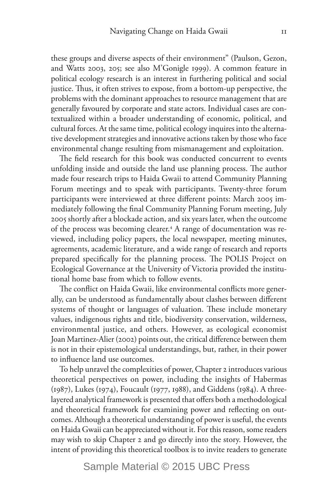these groups and diverse aspects of their environment" (Paulson, Gezon, and Watts 2003, 205; see also M'Gonigle 1999). A common feature in political ecology research is an interest in furthering political and social justice. Thus, it often strives to expose, from a bottom-up perspective, the problems with the dominant approaches to resource management that are generally favoured by corporate and state actors. Individual cases are contextualized within a broader understanding of economic, political, and cultural forces. At the same time, political ecology inquires into the alternative development strategies and innovative actions taken by those who face environmental change resulting from mismanagement and exploitation.

The field research for this book was conducted concurrent to events unfolding inside and outside the land use planning process. The author made four research trips to Haida Gwaii to attend Community Planning Forum meetings and to speak with participants. Twenty-three forum participants were interviewed at three different points: March 2005 immediately following the final Community Planning Forum meeting, July 2005 shortly after a blockade action, and six years later, when the outcome of the process was becoming clearer.<sup>4</sup> A range of documentation was reviewed, including policy papers, the local newspaper, meeting minutes, agreements, academic literature, and a wide range of research and reports prepared specifically for the planning process. The POLIS Project on Ecological Governance at the University of Victoria provided the institutional home base from which to follow events.

The conflict on Haida Gwaii, like environmental conflicts more generally, can be understood as fundamentally about clashes between different systems of thought or languages of valuation. These include monetary values, indigenous rights and title, biodiversity conservation, wilderness, environmental justice, and others. However, as ecological economist Joan Martinez-Alier (2002) points out, the critical difference between them is not in their epistemological understandings, but, rather, in their power to influence land use outcomes.

To help unravel the complexities of power, Chapter 2 introduces various theoretical perspectives on power, including the insights of Habermas (1987), Lukes (1974), Foucault (1977, 1988), and Giddens (1984). A threelayered analytical framework is presented that offers both a methodological and theoretical framework for examining power and reflecting on outcomes. Although a theoretical understanding of power is useful, the events on Haida Gwaii can be appreciated without it. For this reason, some readers may wish to skip Chapter 2 and go directly into the story. However, the intent of providing this theoretical toolbox is to invite readers to generate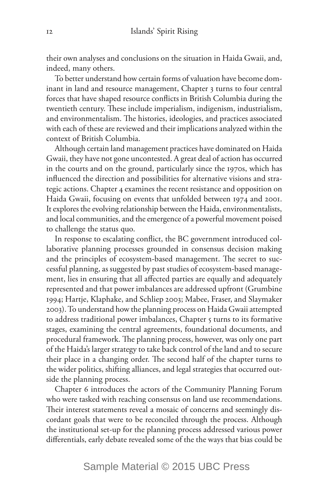their own analyses and conclusions on the situation in Haida Gwaii, and, indeed, many others.

To better understand how certain forms of valuation have become dominant in land and resource management, Chapter 3 turns to four central forces that have shaped resource conflicts in British Columbia during the twentieth century. These include imperialism, indigenism, industrialism, and environmentalism. The histories, ideologies, and practices associated with each of these are reviewed and their implications analyzed within the context of British Columbia.

Although certain land management practices have dominated on Haida Gwaii, they have not gone uncontested. A great deal of action has occurred in the courts and on the ground, particularly since the 1970s, which has influenced the direction and possibilities for alternative visions and strategic actions. Chapter 4 examines the recent resistance and opposition on Haida Gwaii, focusing on events that unfolded between 1974 and 2001. It explores the evolving relationship between the Haida, environmentalists, and local communities, and the emergence of a powerful movement poised to challenge the status quo.

In response to escalating conflict, the BC government introduced collaborative planning processes grounded in consensus decision making and the principles of ecosystem-based management. The secret to successful planning, as suggested by past studies of ecosystem-based management, lies in ensuring that all affected parties are equally and adequately represented and that power imbalances are addressed upfront (Grumbine 1994; Hartje, Klaphake, and Schliep 2003; Mabee, Fraser, and Slaymaker 2003). To understand how the planning process on Haida Gwaii attempted to address traditional power imbalances, Chapter 5 turns to its formative stages, examining the central agreements, foundational documents, and procedural framework. The planning process, however, was only one part of the Haida's larger strategy to take back control of the land and to secure their place in a changing order. The second half of the chapter turns to the wider politics, shifting alliances, and legal strategies that occurred outside the planning process.

Chapter 6 introduces the actors of the Community Planning Forum who were tasked with reaching consensus on land use recommendations. Their interest statements reveal a mosaic of concerns and seemingly discordant goals that were to be reconciled through the process. Although the institutional set-up for the planning process addressed various power differentials, early debate revealed some of the the ways that bias could be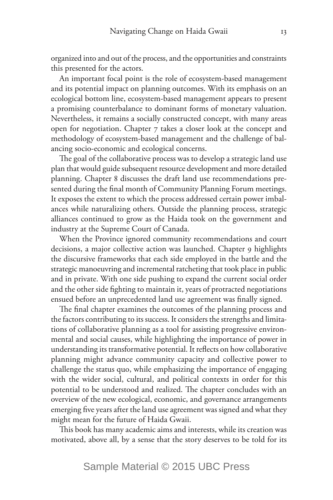organized into and out of the process, and the opportunities and constraints this presented for the actors.

An important focal point is the role of ecosystem-based management and its potential impact on planning outcomes. With its emphasis on an ecological bottom line, ecosystem-based management appears to present a promising counterbalance to dominant forms of monetary valuation. Nevertheless, it remains a socially constructed concept, with many areas open for negotiation. Chapter 7 takes a closer look at the concept and methodology of ecosystem-based management and the challenge of balancing socio-economic and ecological concerns.

The goal of the collaborative process was to develop a strategic land use plan that would guide subsequent resource development and more detailed planning. Chapter 8 discusses the draft land use recommendations presented during the final month of Community Planning Forum meetings. It exposes the extent to which the process addressed certain power imbalances while naturalizing others. Outside the planning process, strategic alliances continued to grow as the Haida took on the government and industry at the Supreme Court of Canada.

When the Province ignored community recommendations and court decisions, a major collective action was launched. Chapter 9 highlights the discursive frameworks that each side employed in the battle and the strategic manoeuvring and incremental ratcheting that took place in public and in private. With one side pushing to expand the current social order and the other side fighting to maintain it, years of protracted negotiations ensued before an unprecedented land use agreement was finally signed.

The final chapter examines the outcomes of the planning process and the factors contributing to its success. It considers the strengths and limitations of collaborative planning as a tool for assisting progressive environmental and social causes, while highlighting the importance of power in understanding its transformative potential. It reflects on how collaborative planning might advance community capacity and collective power to challenge the status quo, while emphasizing the importance of engaging with the wider social, cultural, and political contexts in order for this potential to be understood and realized. The chapter concludes with an overview of the new ecological, economic, and governance arrangements emerging five years after the land use agreement was signed and what they might mean for the future of Haida Gwaii.

This book has many academic aims and interests, while its creation was motivated, above all, by a sense that the story deserves to be told for its